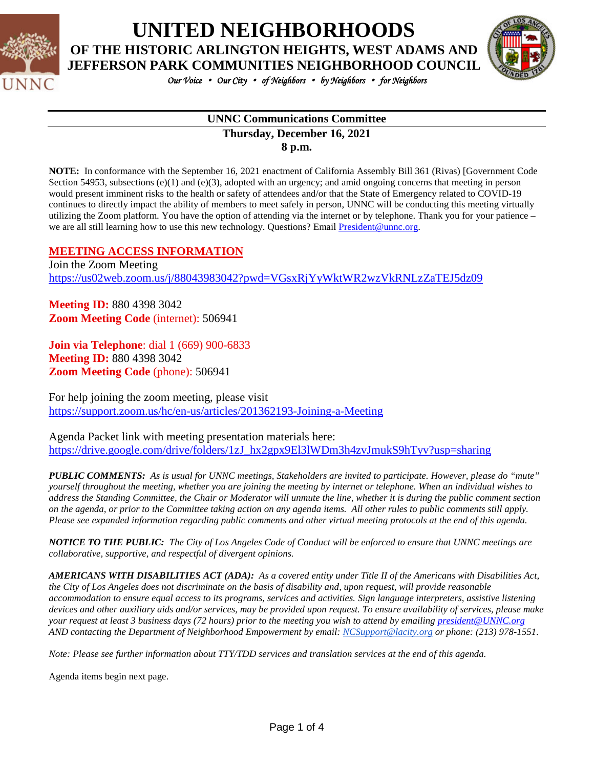

**UNITED NEIGHBORHOODS**

**OF THE HISTORIC ARLINGTON HEIGHTS, WEST ADAMS AND JEFFERSON PARK COMMUNITIES NEIGHBORHOOD COUNCIL**



*Our Voice* • *Our City* • *of Neighbors* • *by Neighbors* • *for Neighbors* 

#### **UNNC Communications Committee Thursday, December 16, 2021 8 p.m.**

**NOTE:** In conformance with the September 16, 2021 enactment of California Assembly Bill 361 (Rivas) [Government Code Section 54953, subsections (e)(1) and (e)(3), adopted with an urgency; and amid ongoing concerns that meeting in person would present imminent risks to the health or safety of attendees and/or that the State of Emergency related to COVID-19 continues to directly impact the ability of members to meet safely in person, UNNC will be conducting this meeting virtually utilizing the Zoom platform. You have the option of attending via the internet or by telephone. Thank you for your patience – we are all still learning how to use this new technology. Questions? Email [President@unnc.org.](mailto:President@unnc.org)

### **MEETING ACCESS INFORMATION**

Join the Zoom Meeting <https://us02web.zoom.us/j/88043983042?pwd=VGsxRjYyWktWR2wzVkRNLzZaTEJ5dz09>

**Meeting ID:** 880 4398 3042 **Zoom Meeting Code** (internet): 506941

**Join via Telephone**: dial 1 (669) 900-6833 **Meeting ID:** 880 4398 3042 **Zoom Meeting Code** (phone): 506941

For help joining the zoom meeting, please visit <https://support.zoom.us/hc/en-us/articles/201362193-Joining-a-Meeting>

Agenda Packet link with meeting presentation materials here: [https://drive.google.com/drive/folders/1zJ\\_hx2gpx9El3lWDm3h4zvJmukS9hTyv?usp=sharing](https://drive.google.com/drive/folders/1zJ_hx2gpx9El3lWDm3h4zvJmukS9hTyv?usp=sharing)

*PUBLIC COMMENTS: As is usual for UNNC meetings, Stakeholders are invited to participate. However, please do "mute" yourself throughout the meeting, whether you are joining the meeting by internet or telephone. When an individual wishes to address the Standing Committee, the Chair or Moderator will unmute the line, whether it is during the public comment section on the agenda, or prior to the Committee taking action on any agenda items. All other rules to public comments still apply. Please see expanded information regarding public comments and other virtual meeting protocols at the end of this agenda.*

*NOTICE TO THE PUBLIC: The City of Los Angeles Code of Conduct will be enforced to ensure that UNNC meetings are collaborative, supportive, and respectful of divergent opinions.* 

*AMERICANS WITH DISABILITIES ACT (ADA): As a covered entity under Title II of the Americans with Disabilities Act, the City of Los Angeles does not discriminate on the basis of disability and, upon request, will provide reasonable accommodation to ensure equal access to its programs, services and activities. Sign language interpreters, assistive listening devices and other auxiliary aids and/or services, may be provided upon request. To ensure availability of services, please make your request at least 3 business days (72 hours) prior to the meeting you wish to attend by emailing [president@UNNC.org](mailto:president@UNNC.org) AND contacting the Department of Neighborhood Empowerment by email: [NCSupport@lacity.org](mailto:NCSupport@lacity.org) or phone: (213) 978-1551.*

*Note: Please see further information about TTY/TDD services and translation services at the end of this agenda.*

Agenda items begin next page.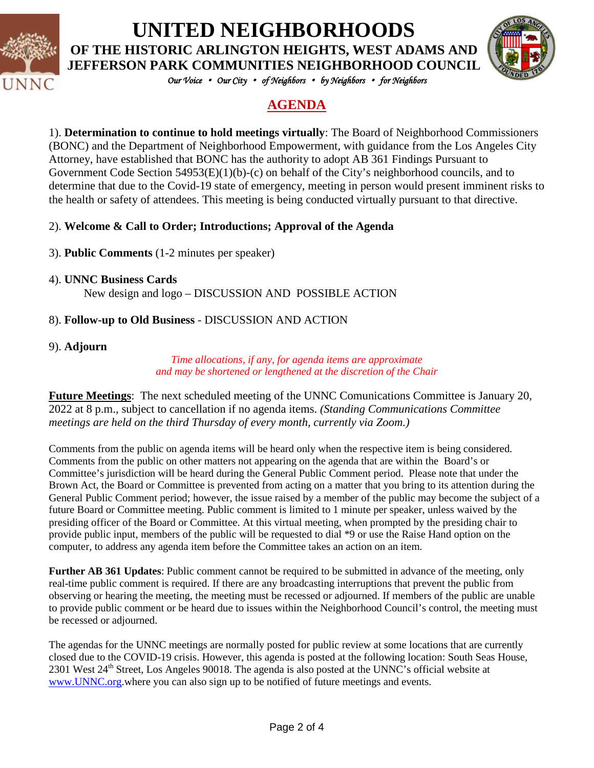

# **UNITED NEIGHBORHOODS**

**OF THE HISTORIC ARLINGTON HEIGHTS, WEST ADAMS AND JEFFERSON PARK COMMUNITIES NEIGHBORHOOD COUNCIL**



*Our Voice* • *Our City* • *of Neighbors* • *by Neighbors* • *for Neighbors* 

# **AGENDA**

1). **Determination to continue to hold meetings virtually**: The Board of Neighborhood Commissioners (BONC) and the Department of Neighborhood Empowerment, with guidance from the Los Angeles City Attorney, have established that BONC has the authority to adopt AB 361 Findings Pursuant to Government Code Section 54953(E)(1)(b)-(c) on behalf of the City's neighborhood councils, and to determine that due to the Covid-19 state of emergency, meeting in person would present imminent risks to the health or safety of attendees. This meeting is being conducted virtually pursuant to that directive.

## 2). **Welcome & Call to Order; Introductions; Approval of the Agenda**

- 3). **Public Comments** (1-2 minutes per speaker)
- 4). **UNNC Business Cards**

New design and logo – DISCUSSION AND POSSIBLE ACTION

## 8). **Follow-up to Old Business** - DISCUSSION AND ACTION

## 9). **Adjourn**

*Time allocations, if any, for agenda items are approximate and may be shortened or lengthened at the discretion of the Chair*

**Future Meetings**: The next scheduled meeting of the UNNC Comunications Committee is January 20, 2022 at 8 p.m., subject to cancellation if no agenda items. *(Standing Communications Committee meetings are held on the third Thursday of every month, currently via Zoom.)*

Comments from the public on agenda items will be heard only when the respective item is being considered. Comments from the public on other matters not appearing on the agenda that are within the Board's or Committee's jurisdiction will be heard during the General Public Comment period. Please note that under the Brown Act, the Board or Committee is prevented from acting on a matter that you bring to its attention during the General Public Comment period; however, the issue raised by a member of the public may become the subject of a future Board or Committee meeting. Public comment is limited to 1 minute per speaker, unless waived by the presiding officer of the Board or Committee. At this virtual meeting, when prompted by the presiding chair to provide public input, members of the public will be requested to dial \*9 or use the Raise Hand option on the computer, to address any agenda item before the Committee takes an action on an item.

**Further AB 361 Updates**: Public comment cannot be required to be submitted in advance of the meeting, only real-time public comment is required. If there are any broadcasting interruptions that prevent the public from observing or hearing the meeting, the meeting must be recessed or adjourned. If members of the public are unable to provide public comment or be heard due to issues within the Neighborhood Council's control, the meeting must be recessed or adjourned.

The agendas for the UNNC meetings are normally posted for public review at some locations that are currently closed due to the COVID-19 crisis. However, this agenda is posted at the following location: South Seas House, 2301 West  $24<sup>th</sup>$  Street, Los Angeles 90018. The agenda is also posted at the UNNC's official website at [www.UNNC.org.](http://www.unnc.org/)where you can also sign up to be notified of future meetings and events.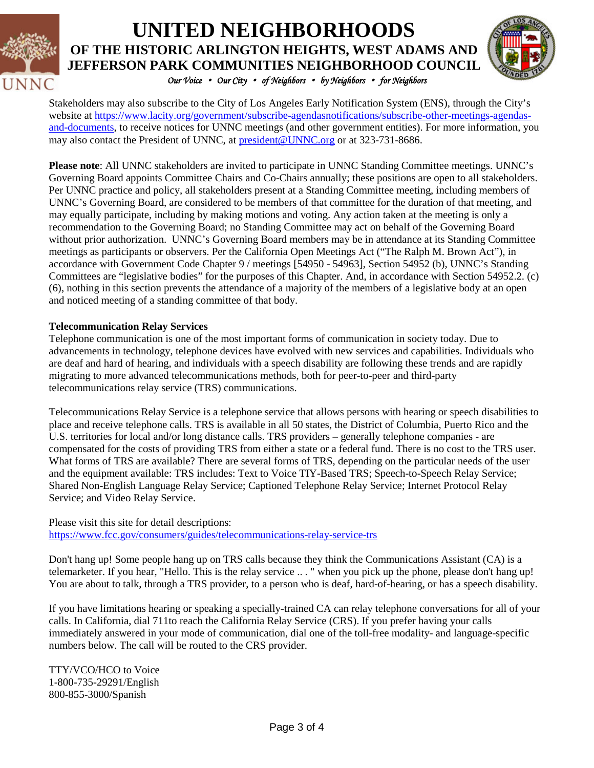

# *Our Voice* • *Our City* • *of Neighbors* • *by Neighbors* • *for Neighbors*  **UNITED NEIGHBORHOODS OF THE HISTORIC ARLINGTON HEIGHTS, WEST ADAMS AND JEFFERSON PARK COMMUNITIES NEIGHBORHOOD COUNCIL**



Stakeholders may also subscribe to the City of Los Angeles Early Notification System (ENS), through the City's website at [https://www.lacity.org/government/subscribe-agendasnotifications/subscribe-other-meetings-agendas](https://www.lacity.org/government/subscribe-agendasnotifications/subscribe-other-meetings-agendas-and-documents)[and-documents,](https://www.lacity.org/government/subscribe-agendasnotifications/subscribe-other-meetings-agendas-and-documents) to receive notices for UNNC meetings (and other government entities). For more information, you may also contact the President of UNNC, at [president@UNNC.org](mailto:president@UNNC.org) or at 323-731-8686.

**Please note**: All UNNC stakeholders are invited to participate in UNNC Standing Committee meetings. UNNC's Governing Board appoints Committee Chairs and Co-Chairs annually; these positions are open to all stakeholders. Per UNNC practice and policy, all stakeholders present at a Standing Committee meeting, including members of UNNC's Governing Board, are considered to be members of that committee for the duration of that meeting, and may equally participate, including by making motions and voting. Any action taken at the meeting is only a recommendation to the Governing Board; no Standing Committee may act on behalf of the Governing Board without prior authorization. UNNC's Governing Board members may be in attendance at its Standing Committee meetings as participants or observers. Per the California Open Meetings Act ("The Ralph M. Brown Act"), in accordance with Government Code Chapter 9 / meetings [54950 - 54963], Section 54952 (b), UNNC's Standing Committees are "legislative bodies" for the purposes of this Chapter. And, in accordance with Section 54952.2. (c) (6), nothing in this section prevents the attendance of a majority of the members of a legislative body at an open and noticed meeting of a standing committee of that body.

#### **Telecommunication Relay Services**

Telephone communication is one of the most important forms of communication in society today. Due to advancements in technology, telephone devices have evolved with new services and capabilities. Individuals who are deaf and hard of hearing, and individuals with a speech disability are following these trends and are rapidly migrating to more advanced telecommunications methods, both for peer-to-peer and third-party telecommunications relay service (TRS) communications.

Telecommunications Relay Service is a telephone service that allows persons with hearing or speech disabilities to place and receive telephone calls. TRS is available in all 50 states, the District of Columbia, Puerto Rico and the U.S. territories for local and/or long distance calls. TRS providers – generally telephone companies - are compensated for the costs of providing TRS from either a state or a federal fund. There is no cost to the TRS user. What forms of TRS are available? There are several forms of TRS, depending on the particular needs of the user and the equipment available: TRS includes: Text to Voice TIY-Based TRS; Speech-to-Speech Relay Service; Shared Non-English Language Relay Service; Captioned Telephone Relay Service; Internet Protocol Relay Service; and Video Relay Service.

Please visit this site for detail descriptions: <https://www.fcc.gov/consumers/guides/telecommunications-relay-service-trs>

Don't hang up! Some people hang up on TRS calls because they think the Communications Assistant (CA) is a telemarketer. If you hear, "Hello. This is the relay service .. . " when you pick up the phone, please don't hang up! You are about to talk, through a TRS provider, to a person who is deaf, hard-of-hearing, or has a speech disability.

If you have limitations hearing or speaking a specially-trained CA can relay telephone conversations for all of your calls. In California, dial 711to reach the California Relay Service (CRS). If you prefer having your calls immediately answered in your mode of communication, dial one of the toll-free modality- and language-specific numbers below. The call will be routed to the CRS provider.

TTY/VCO/HCO to Voice 1-800-735-29291/English 800-855-3000/Spanish